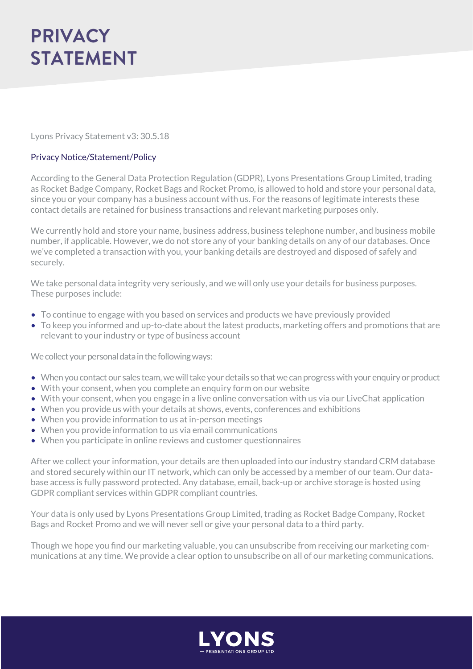Lyons Privacy Statement v3: 30.5.18

## Privacy Notice/Statement/Policy

According to the General Data Protection Regulation (GDPR), Lyons Presentations Group Limited, trading as Rocket Badge Company, Rocket Bags and Rocket Promo, is allowed to hold and store your personal data, since you or your company has a business account with us. For the reasons of legitimate interests these contact details are retained for business transactions and relevant marketing purposes only.

We currently hold and store your name, business address, business telephone number, and business mobile number, if applicable. However, we do not store any of your banking details on any of our databases. Once we've completed a transaction with you, your banking details are destroyed and disposed of safely and securely.

We take personal data integrity very seriously, and we will only use your details for business purposes. These purposes include:

- To continue to engage with you based on services and products we have previously provided
- To keep you informed and up-to-date about the latest products, marketing offers and promotions that are relevant to your industry or type of business account

We collect your personal data in the following ways:

- When you contact our sales team, we will take your details so that we can progress with your enquiry or product
- With your consent, when you complete an enquiry form on our website
- With your consent, when you engage in a live online conversation with us via our LiveChat application
- When you provide us with your details at shows, events, conferences and exhibitions
- When you provide information to us at in-person meetings
- When you provide information to us via email communications
- When you participate in online reviews and customer questionnaires

After we collect your information, your details are then uploaded into our industry standard CRM database and stored securely within our IT network, which can only be accessed by a member of our team. Our database access is fully password protected. Any database, email, back-up or archive storage is hosted using GDPR compliant services within GDPR compliant countries.

Your data is only used by Lyons Presentations Group Limited, trading as Rocket Badge Company, Rocket Bags and Rocket Promo and we will never sell or give your personal data to a third party.

Though we hope you find our marketing valuable, you can unsubscribe from receiving our marketing communications at any time. We provide a clear option to unsubscribe on all of our marketing communications.